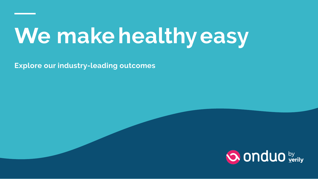## **We make healthyeasy**

**Explore our industry-leading outcomes**

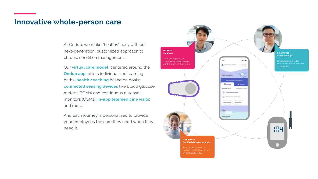#### **Innovative whole-person care**

At Onduo, we make "healthy" easy with our next-generation, customized approach to chronic condition management.

Our **virtual care model**, centered around the **Onduo app**, offers individualized learning paths; **health coaching** based on goals; **connected sensing devices** like blood glucose meters (BGMs) and continuous glucose monitors (CGMs); **in-app telemedicine visits**; and more.

And each journey is personalized to provide your employees the care they need when they need it.

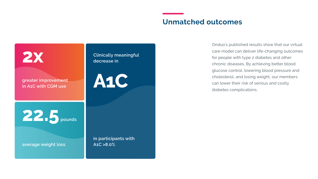#### **Unmatched outcomes**



Onduo's published results show that our virtual care model can deliver life-changing outcomes for people with type 2 diabetes and other chronic diseases. By achieving better blood glucose control, lowering blood pressure and cholesterol, and losing weight, our members can lower their risk of serious and costly diabetes complications.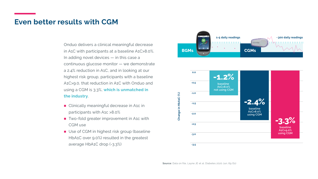#### **Even better results with CGM**

Onduo delivers a clinical meaningful decrease in A1C with participants at a baseline A1C>8.0%. In adding novel devices — in this case a continuous glucose monitor — we demonstrate a 2.4% reduction in A1C, and in looking at our highest risk group, participants with a baseline A1C>9.0, that reduction in A1C with Onduo and using a CGM is 3.3%, **which is unmatched in the industry**.

- Clinically meaningful decrease in A1c in participants with A1c >8.0%
- Two-fold greater improvement in A1c with CGM use
- Use of CGM in highest risk group (baseline HbA1C over 9.0%) resulted in the greatest average HbA1C drop (-3.3%)



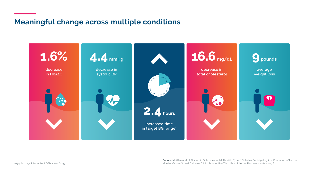#### **Meaningful change across multiple conditions**



**Source:** Majithia A et al. Glycemic Outcomes in Adults With Type 2 Diabetes Participating in a Continuous Glucose Monitor–Driven Virtual Diabetes Clinic: Prospective Trial. J Med Internet Res. 2020: 22(8):e21778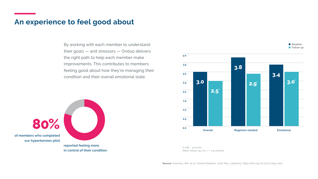#### **An experience to feel good about**

By working with each member to understand their goals — and stressors — Onduo delivers the right path to help each member make improvements. This contributes to members feeling good about how they're managing their condition and their overall emotional state.

**80% of members who completed our hypertension pilot reported feeling more**

**in control of their condition**

**0.0 0.5 1.0 1.5 2.0 2.5 3.0 3.5 4.0 Overall 3.0 2.5**\* **Regimen-related 3.8 2.9**\* **Emotional 3.4 3.0**\*

**Baseline Follow-up** 

n=228 \*p<0.001 Mean follow-up: 6.1 +/- 0.9 months

**Source:** Polansky, WH, et al. *Clinical Diabetes*, 2020 May; cd190105. https//doi.org/10.2337/cd19-0105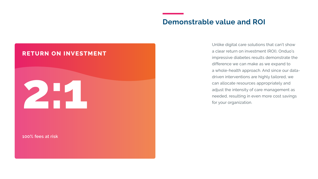#### **Demonstrable value and ROI**

#### **RETURN ON INVESTMENT**

# **2:1**

**100% fees at risk**

Unlike digital care solutions that can't show a clear return on investment (ROI), Onduo's impressive diabetes results demonstrate the difference we can make as we expand to a whole-health approach. And since our datadriven interventions are highly tailored, we can allocate resources appropriately and adjust the intensity of care management as needed, resulting in even more cost savings for your organization.